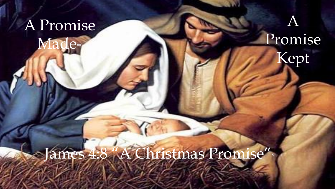# A Promise

**Made** 

## A Promise Kept

## James 4:8 "A Christmas Promise""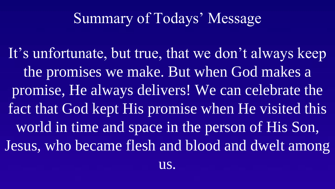## Summary of Todays' Message

It's unfortunate, but true, that we don't always keep the promises we make. But when God makes a promise, He always delivers! We can celebrate the fact that God kept His promise when He visited this world in time and space in the person of His Son, Jesus, who became flesh and blood and dwelt among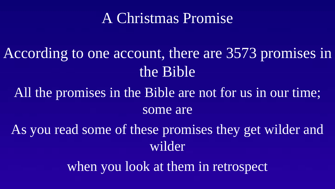### A Christmas Promise

According to one account, there are 3573 promises in the Bible

All the promises in the Bible are not for us in our time; some are

As you read some of these promises they get wilder and wilder

when you look at them in retrospect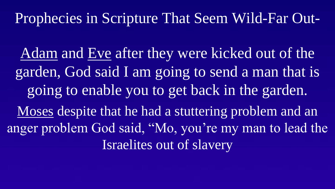Adam and Eve after they were kicked out of the garden, God said I am going to send a man that is going to enable you to get back in the garden. Moses despite that he had a stuttering problem and an anger problem God said, "Mo, you're my man to lead the Israelites out of slavery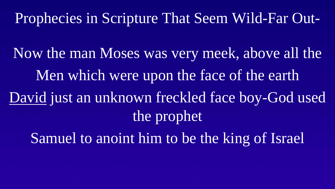Now the man Moses was very meek, above all the Men which were upon the face of the earth David just an unknown freckled face boy-God used the prophet Samuel to anoint him to be the king of Israel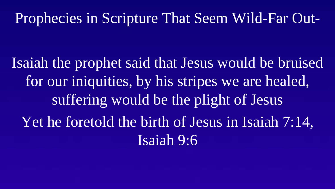Isaiah the prophet said that Jesus would be bruised for our iniquities, by his stripes we are healed, suffering would be the plight of Jesus Yet he foretold the birth of Jesus in Isaiah 7:14, Isaiah 9:6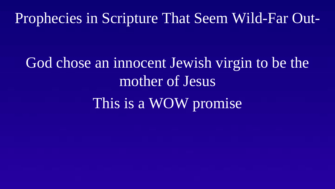God chose an innocent Jewish virgin to be the mother of Jesus This is a WOW promise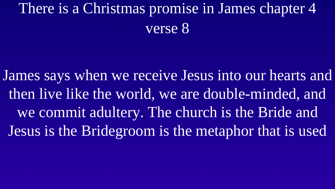## There is a Christmas promise in James chapter 4 verse 8

James says when we receive Jesus into our hearts and then live like the world, we are double-minded, and we commit adultery. The church is the Bride and Jesus is the Bridegroom is the metaphor that is used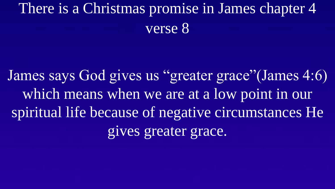## There is a Christmas promise in James chapter 4 verse 8

James says God gives us "greater grace"(James 4:6) which means when we are at a low point in our spiritual life because of negative circumstances He gives greater grace.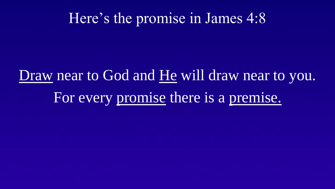#### Here's the promise in James 4:8

# Draw near to God and He will draw near to you. For every promise there is a premise.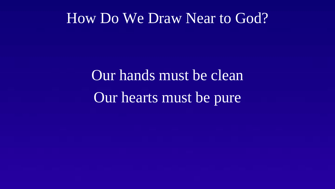#### How Do We Draw Near to God?

Our hands must be clean Our hearts must be pure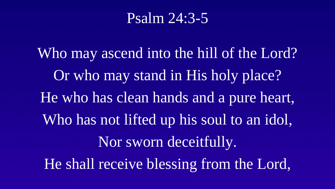#### Psalm 24:3-5

Who may ascend into the hill of the Lord? Or who may stand in His holy place? He who has clean hands and a pure heart, Who has not lifted up his soul to an idol, Nor sworn deceitfully. He shall receive blessing from the Lord,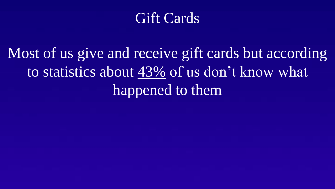#### Gift Cards

Most of us give and receive gift cards but according to statistics about 43% of us don't know what happened to them